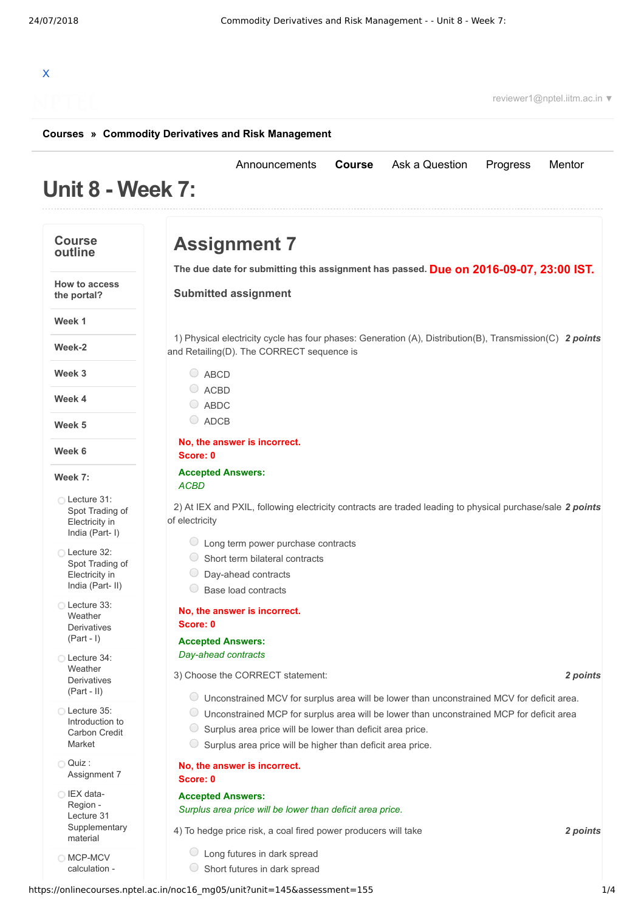# X

reviewer1@nptel.iitm.ac.in ▼

#### **[Courses](https://onlinecourses.nptel.ac.in/) » [Commodity Derivatives and Risk Management](https://onlinecourses.nptel.ac.in/noc16_mg05/course)**

# **Unit 8 - Week 7:**

#### **Course outline**

**How to access**

# **Assignment 7**

**Due on 2016-09-07, 23:00 IST. The due date for submitting this assignment has passed.**

[Announcements](https://onlinecourses.nptel.ac.in/noc16_mg05/announcements) **[Course](https://onlinecourses.nptel.ac.in/noc16_mg05/course)** [Ask a Question](https://onlinecourses.nptel.ac.in/noc16_mg05/forum) [Progress](https://onlinecourses.nptel.ac.in/noc16_mg05/student/home) [Mentor](https://onlinecourses.nptel.ac.in/noc16_mg05/student/mentor)

**Submitted assignment**

**the portal? Week 1**

**Week-2**

**Week 3**

**Week 4**

**Week 5**

**Week 6**

#### **Week 7:**

Lecture 31: Spot Trading of [Electricity](https://onlinecourses.nptel.ac.in/noc16_mg05/unit?unit=145&lesson=146) in India (Part- I)

Lecture 32: Spot Trading of [Electricity](https://onlinecourses.nptel.ac.in/noc16_mg05/unit?unit=145&lesson=147) in India (Part- II)

Lecture 33: Weather **[Derivatives](https://onlinecourses.nptel.ac.in/noc16_mg05/unit?unit=145&lesson=148)** (Part - I)

Lecture 34: Weather [Derivatives](https://onlinecourses.nptel.ac.in/noc16_mg05/unit?unit=145&lesson=149) (Part - II)

Lecture 35: [Introduction](https://onlinecourses.nptel.ac.in/noc16_mg05/unit?unit=145&lesson=150) to Carbon Credit Market

 $\bigcap$  Quiz : [Assignment](https://onlinecourses.nptel.ac.in/noc16_mg05/assessment?name=155) 7

IEX data-Region - Lecture 31 **[Supplementary](https://onlinecourses.nptel.ac.in/noc16_mg05/link?unit=156)** material

**[MCP-MCV](https://onlinecourses.nptel.ac.in/noc16_mg05/link?unit=157)** calculation -

1) Physical electricity cycle has four phases: Generation (A), Distribution(B), Transmission(C) 2 points and Retailing(D). The CORRECT sequence is  $O$  ABCD

- $O$  ACBD
- ABDC
- ADCB

**No, the answer is incorrect. Score: 0**

#### **Accepted Answers:** *ACBD*

2) At IEX and PXIL, following electricity contracts are traded leading to physical purchase/sale 2 *points* of electricity

- $\circ$  Long term power purchase contracts
- $\circ$  Short term bilateral contracts
- Day-ahead contracts
- ◯ Base load contracts

#### **No, the answer is incorrect.**

## **Accepted Answers:** *Day-ahead contracts*

**Score: 0**

3) *2 points* Choose the CORRECT statement:

- Unconstrained MCV for surplus area will be lower than unconstrained MCV for deficit area.
- Unconstrained MCP for surplus area will be lower than unconstrained MCP for deficit area
- $\circ$  Surplus area price will be lower than deficit area price.
- $\circ$  Surplus area price will be higher than deficit area price.

#### **No, the answer is incorrect.**

**Score: 0**

#### **Accepted Answers:** *Surplus area price will be lower than deficit area price.*

4) *2 points* To hedge price risk, a coal fired power producers will take

- Long futures in dark spread
- $\circ$  Short futures in dark spread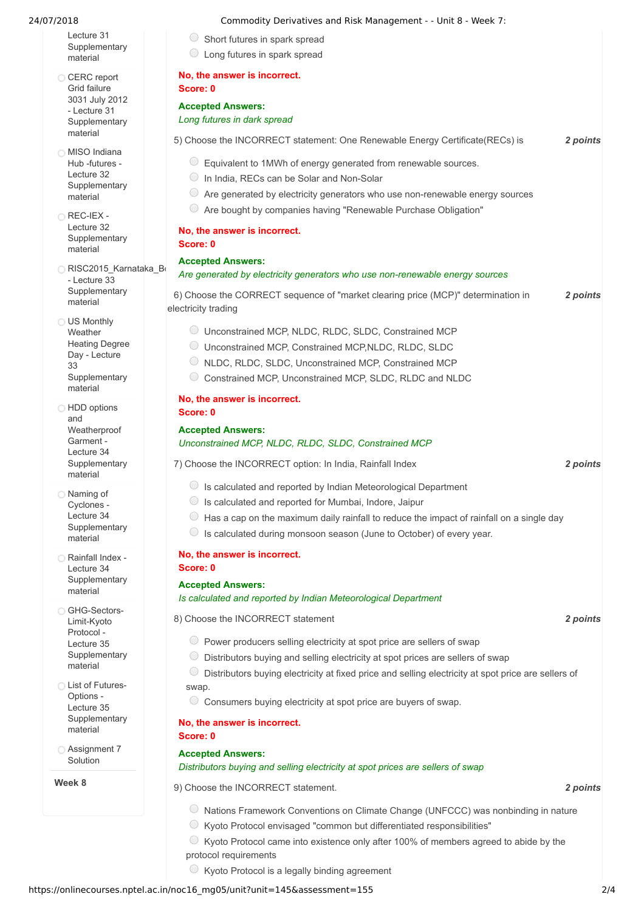Lecture 31 **[Supplementary](https://onlinecourses.nptel.ac.in/noc16_mg05/link?unit=157)** material

- C CERC report Grid failure 3031 July 2012 - Lecture 31 **[Supplementary](https://onlinecourses.nptel.ac.in/noc16_mg05/link?unit=158)** material
- **MISO** Indiana Hub -futures - Lecture 32 **[Supplementary](https://onlinecourses.nptel.ac.in/noc16_mg05/link?unit=159)** material
- **REC-IEX -**Lecture 32 **[Supplementary](https://onlinecourses.nptel.ac.in/noc16_mg05/link?unit=160)** material
- [RISC2015\\_Karnataka\\_Booklet](https://onlinecourses.nptel.ac.in/noc16_mg05/link?unit=161) - Lecture 33 **Supplementary** material
- O US Monthly **Weather** Heating Degree Day - Lecture 33 **[Supplementary](https://onlinecourses.nptel.ac.in/noc16_mg05/link?unit=162)** material
- **C** HDD options and Weatherproof Garment - Lecture 34 **[Supplementary](https://onlinecourses.nptel.ac.in/noc16_mg05/link?unit=163)** material
- Naming of Cyclones - Lecture 34 [Supplementary](https://onlinecourses.nptel.ac.in/noc16_mg05/link?unit=164) material
- Rainfall Index -Lecture 34 **[Supplementary](https://onlinecourses.nptel.ac.in/noc16_mg05/link?unit=165)** material

GHG-Sectors-Limit-Kyoto Protocol - Lecture 35 [Supplementary](https://onlinecourses.nptel.ac.in/noc16_mg05/link?unit=166) material

List of Futures- $Ontions -$ Lecture 35 **[Supplementary](https://onlinecourses.nptel.ac.in/noc16_mg05/link?unit=167)** material

[Assignment](https://onlinecourses.nptel.ac.in/noc16_mg05/link?unit=196) 7 Solution

**Week 8**

#### 24/07/2018 Commodity Derivatives and Risk Management - - Unit 8 - Week 7:

- $\circ$  Short futures in spark spread
- Long futures in spark spread

#### **No, the answer is incorrect. Score: 0**

# **Accepted Answers:**

# *Long futures in dark spread*

- 5) *2 points* Choose the INCORRECT statement: One Renewable Energy Certificate(RECs) is
	- $\circ$  Equivalent to 1MWh of energy generated from renewable sources.
	- $\bigcirc$  In India, RECs can be Solar and Non-Solar
	- $\circlearrowright$  Are generated by electricity generators who use non-renewable energy sources
	- $\circ$  Are bought by companies having "Renewable Purchase Obligation"

#### **No, the answer is incorrect. Score: 0**

#### **Accepted Answers:**

### *Are generated by electricity generators who use non-renewable energy sources*

- 6) *2 points* Choose the CORRECT sequence of "market clearing price (MCP)" determination in electricity trading
	- Unconstrained MCP, NLDC, RLDC, SLDC, Constrained MCP
	- Unconstrained MCP, Constrained MCP,NLDC, RLDC, SLDC
	- NLDC, RLDC, SLDC, Unconstrained MCP, Constrained MCP
	- Constrained MCP, Unconstrained MCP, SLDC, RLDC and NLDC

#### **No, the answer is incorrect. Score: 0**

#### **Accepted Answers:** *Unconstrained MCP, NLDC, RLDC, SLDC, Constrained MCP*

7) *2 points* Choose the INCORRECT option: In India, Rainfall Index

 $\bigcirc$  Is calculated and reported by Indian Meteorological Department

- $\bigcirc$  Is calculated and reported for Mumbai, Indore, Jaipur
- $\circ$  Has a cap on the maximum daily rainfall to reduce the impact of rainfall on a single day
- $\bigcirc$  Is calculated during monsoon season (June to October) of every year.

#### **No, the answer is incorrect. Score: 0**

#### **Accepted Answers:**

*Is calculated and reported by Indian Meteorological Department*

8) *2 points* Choose the INCORRECT statement

- $\circledcirc$  Power producers selling electricity at spot price are sellers of swap
- $\circ$  Distributors buying and selling electricity at spot prices are sellers of swap
- Distributors buying electricity at fixed price and selling electricity at spot price are sellers of swap.
- $\circlearrowright$  Consumers buying electricity at spot price are buyers of swap.

# **No, the answer is incorrect.**

### **Accepted Answers:**

**Score: 0**

### *Distributors buying and selling electricity at spot prices are sellers of swap*

9) *2 points* Choose the INCORRECT statement.

- Nations Framework Conventions on Climate Change (UNFCCC) was nonbinding in nature
- $\circ$  Kyoto Protocol envisaged "common but differentiated responsibilities"
- $\heartsuit$  Kyoto Protocol came into existence only after 100% of members agreed to abide by the
- protocol requirements
- $\circ$  Kyoto Protocol is a legally binding agreement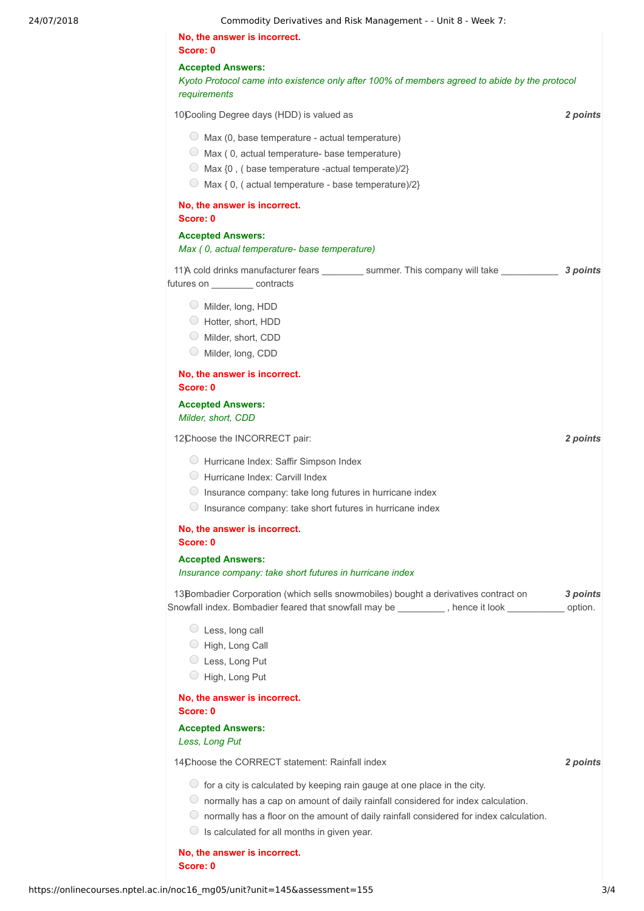24/07/2018 Commodity Derivatives and Risk Management - - Unit 8 - Week 7:

**No, the answer is incorrect.**

**Accepted Answers:**

**Score: 0**

*Kyoto Protocol came into existence only after 100% of members agreed to abide by the protocol requirements*

10) *2 points* Cooling Degree days (HDD) is valued as

 $\circ$  Max (0, base temperature - actual temperature)

- $\bigcirc$  Max (0, actual temperature- base temperature)
- $\bigcirc$  Max {0, ( base temperature -actual temperate)/2}
- $\bigcirc$  Max { 0, ( actual temperature base temperature)/2}

**No, the answer is incorrect.**

**Score: 0**

#### **Accepted Answers:**

#### *Max ( 0, actual temperature- base temperature)*

11)A cold drinks manufacturer fears \_\_\_\_\_\_\_\_\_\_ summer. This company will take \_\_\_\_\_\_\_\_\_\_\_\_\_ 3 points futures on \_\_\_\_\_\_\_\_\_ contracts

- Milder, long, HDD
- Hotter, short, HDD
- Milder, short, CDD
- Milder, long, CDD

#### **No, the answer is incorrect. Score: 0**

#### **Accepted Answers:** *Milder, short, CDD*

12) *2 points* Choose the INCORRECT pair:

- Hurricane Index: Saffir Simpson Index
- Hurricane Index: Carvill Index
- $\bigcirc$  Insurance company: take long futures in hurricane index
- $\bigcirc$  Insurance company: take short futures in hurricane index

## **No, the answer is incorrect.**

**Score: 0**

# 13Bombadier Corporation (which sells snowmobiles) bought a derivatives contract on **3 points Accepted Answers:** *Insurance company: take short futures in hurricane index*

Snowfall index. Bombadier feared that snowfall may be \_\_\_\_\_\_\_\_\_ , hence it look \_\_\_\_\_\_\_\_\_\_\_ option.

- Less, long call
- High, Long Call
- Less, Long Put
- High, Long Put

#### **No, the answer is incorrect. Score: 0**

#### **Accepted Answers:**

*Less, Long Put*

14) *2 points* Choose the CORRECT statement: Rainfall index

- $\circ$  for a city is calculated by keeping rain gauge at one place in the city.
- $\circlearrowright$  normally has a cap on amount of daily rainfall considered for index calculation.
- $\circlearrowright$  normally has a floor on the amount of daily rainfall considered for index calculation.
- $\bigcirc$  Is calculated for all months in given year.

**No, the answer is incorrect. Score: 0**